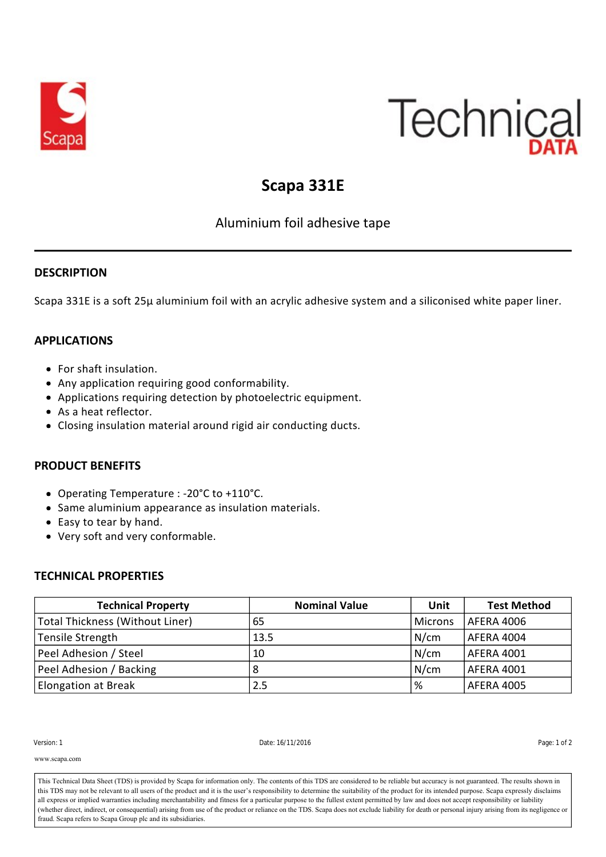

# Technical

## **Scapa 331E**

### Aluminium foil adhesive tape

#### **DESCRIPTION**

Scapa 331E is a soft 25µ aluminium foil with an acrylic adhesive system and a siliconised white paper liner.

#### **APPLICATIONS**

- For shaft insulation.
- Any application requiring good conformability.
- Applications requiring detection by photoelectric equipment.
- As a heat reflector.
- Closing insulation material around rigid air conducting ducts.

#### **PRODUCT BENEFITS**

- Operating Temperature : ‐20°C to +110°C.
- Same aluminium appearance as insulation materials.
- Easy to tear by hand.
- Very soft and very conformable.

#### **TECHNICAL PROPERTIES**

| <b>Technical Property</b>       | <b>Nominal Value</b> | Unit           | <b>Test Method</b> |
|---------------------------------|----------------------|----------------|--------------------|
| Total Thickness (Without Liner) | 65                   | <b>Microns</b> | AFERA 4006         |
| Tensile Strength                | 13.5                 | N/cm           | AFERA 4004         |
| Peel Adhesion / Steel           | 10                   | N/cm           | AFERA 4001         |
| Peel Adhesion / Backing         | 8                    | N/cm           | AFERA 4001         |
| <b>Elongation at Break</b>      | 2.5                  | %              | AFERA 4005         |

Version: 1 Date: 16/11/2016 Page: 1 of 2

**RECOMMENDATIONS** www.scapa.com

all express or implied warranties including merchantability and fitness for a particular purpose to the fullest extent permitted by law and does not accept responsibility or liability and fitness for a particular purpose t (whether direct, indirect, or consequential) arising from use of the product or reliance on the TDS. Scapa does not exclude liability for death or personal injury arising from its negligence or dust, stapa files to stapa Group fit and its substituties. This Technical Data Sheet (TDS) is provided by Scapa for information only. The contents of this TDS are considered to be reliable but accuracy is not guaranteed. The results shown in this TDS may not be relevant to all users of the product and it is the user's responsibility to determine the suitability of the product for its intended purpose. Scapa expressly disclaims fraud. Scapa refers to Scapa Group plc and its subsidiaries.